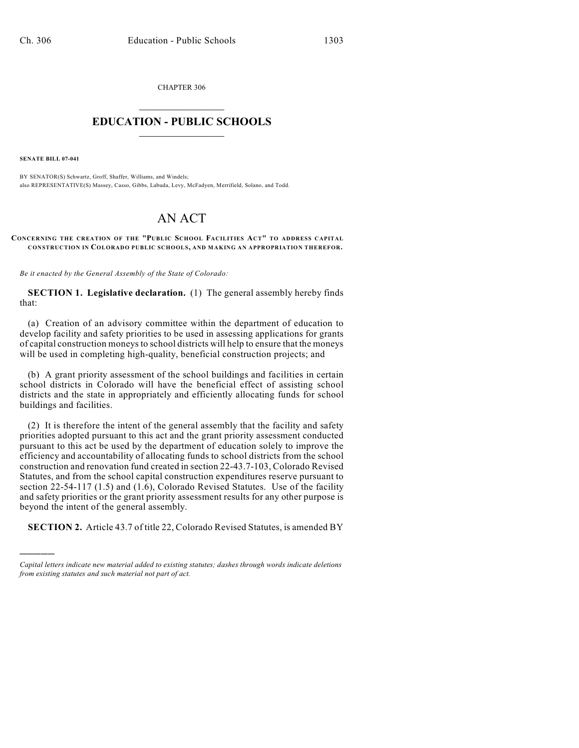CHAPTER 306  $\overline{\phantom{a}}$  . The set of the set of the set of the set of the set of the set of the set of the set of the set of the set of the set of the set of the set of the set of the set of the set of the set of the set of the set o

## **EDUCATION - PUBLIC SCHOOLS**  $\_$   $\_$   $\_$   $\_$   $\_$   $\_$   $\_$   $\_$   $\_$

**SENATE BILL 07-041**

)))))

BY SENATOR(S) Schwartz, Groff, Shaffer, Williams, and Windels; also REPRESENTATIVE(S) Massey, Casso, Gibbs, Labuda, Levy, McFadyen, Merrifield, Solano, and Todd.

## AN ACT

## **CONCERNING THE CREATION OF THE "PUBLIC SCHOOL FACILITIES ACT" TO ADDRESS CAPITAL CONSTRUCTION IN COLORADO PUBLIC SCHOOLS, AND MAKING AN APPROPRIATION THEREFOR.**

*Be it enacted by the General Assembly of the State of Colorado:*

**SECTION 1. Legislative declaration.** (1) The general assembly hereby finds that:

(a) Creation of an advisory committee within the department of education to develop facility and safety priorities to be used in assessing applications for grants of capital construction moneys to school districts will help to ensure that the moneys will be used in completing high-quality, beneficial construction projects; and

(b) A grant priority assessment of the school buildings and facilities in certain school districts in Colorado will have the beneficial effect of assisting school districts and the state in appropriately and efficiently allocating funds for school buildings and facilities.

(2) It is therefore the intent of the general assembly that the facility and safety priorities adopted pursuant to this act and the grant priority assessment conducted pursuant to this act be used by the department of education solely to improve the efficiency and accountability of allocating funds to school districts from the school construction and renovation fund created in section 22-43.7-103, Colorado Revised Statutes, and from the school capital construction expenditures reserve pursuant to section 22-54-117 (1.5) and (1.6), Colorado Revised Statutes. Use of the facility and safety priorities or the grant priority assessment results for any other purpose is beyond the intent of the general assembly.

**SECTION 2.** Article 43.7 of title 22, Colorado Revised Statutes, is amended BY

*Capital letters indicate new material added to existing statutes; dashes through words indicate deletions from existing statutes and such material not part of act.*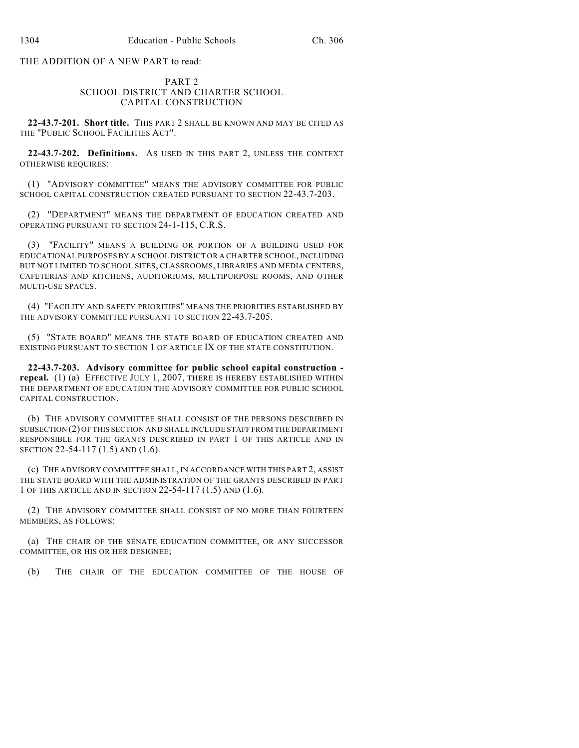THE ADDITION OF A NEW PART to read:

## PART 2 SCHOOL DISTRICT AND CHARTER SCHOOL CAPITAL CONSTRUCTION

**22-43.7-201. Short title.** THIS PART 2 SHALL BE KNOWN AND MAY BE CITED AS THE "PUBLIC SCHOOL FACILITIES ACT".

**22-43.7-202. Definitions.** AS USED IN THIS PART 2, UNLESS THE CONTEXT OTHERWISE REQUIRES:

(1) "ADVISORY COMMITTEE" MEANS THE ADVISORY COMMITTEE FOR PUBLIC SCHOOL CAPITAL CONSTRUCTION CREATED PURSUANT TO SECTION 22-43.7-203.

(2) "DEPARTMENT" MEANS THE DEPARTMENT OF EDUCATION CREATED AND OPERATING PURSUANT TO SECTION 24-1-115, C.R.S.

(3) "FACILITY" MEANS A BUILDING OR PORTION OF A BUILDING USED FOR EDUCATIONAL PURPOSES BY A SCHOOL DISTRICT OR A CHARTER SCHOOL, INCLUDING BUT NOT LIMITED TO SCHOOL SITES, CLASSROOMS, LIBRARIES AND MEDIA CENTERS, CAFETERIAS AND KITCHENS, AUDITORIUMS, MULTIPURPOSE ROOMS, AND OTHER MULTI-USE SPACES.

(4) "FACILITY AND SAFETY PRIORITIES" MEANS THE PRIORITIES ESTABLISHED BY THE ADVISORY COMMITTEE PURSUANT TO SECTION 22-43.7-205.

(5) "STATE BOARD" MEANS THE STATE BOARD OF EDUCATION CREATED AND EXISTING PURSUANT TO SECTION 1 OF ARTICLE IX OF THE STATE CONSTITUTION.

**22-43.7-203. Advisory committee for public school capital construction repeal.** (1) (a) EFFECTIVE JULY 1, 2007, THERE IS HEREBY ESTABLISHED WITHIN THE DEPARTMENT OF EDUCATION THE ADVISORY COMMITTEE FOR PUBLIC SCHOOL CAPITAL CONSTRUCTION.

(b) THE ADVISORY COMMITTEE SHALL CONSIST OF THE PERSONS DESCRIBED IN SUBSECTION (2) OF THIS SECTION AND SHALL INCLUDE STAFF FROM THE DEPARTMENT RESPONSIBLE FOR THE GRANTS DESCRIBED IN PART 1 OF THIS ARTICLE AND IN SECTION 22-54-117 (1.5) AND (1.6).

(c) THE ADVISORY COMMITTEE SHALL, IN ACCORDANCE WITH THIS PART 2, ASSIST THE STATE BOARD WITH THE ADMINISTRATION OF THE GRANTS DESCRIBED IN PART 1 OF THIS ARTICLE AND IN SECTION 22-54-117 (1.5) AND (1.6).

(2) THE ADVISORY COMMITTEE SHALL CONSIST OF NO MORE THAN FOURTEEN MEMBERS, AS FOLLOWS:

(a) THE CHAIR OF THE SENATE EDUCATION COMMITTEE, OR ANY SUCCESSOR COMMITTEE, OR HIS OR HER DESIGNEE;

(b) THE CHAIR OF THE EDUCATION COMMITTEE OF THE HOUSE OF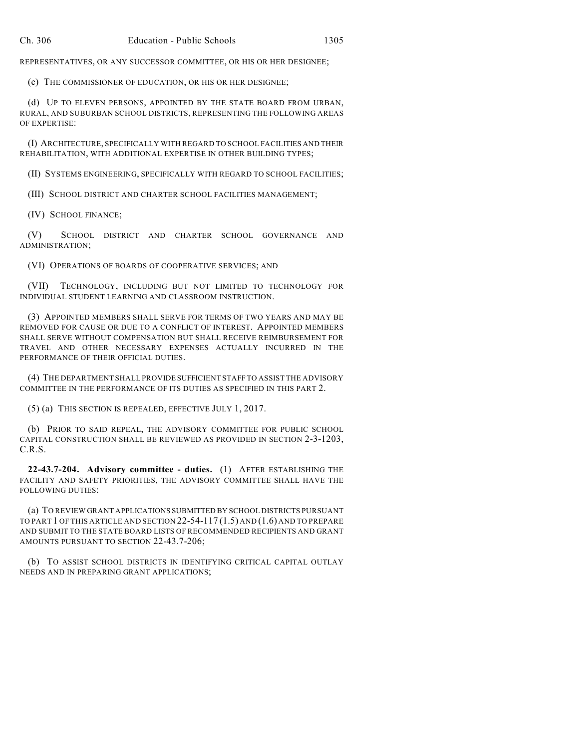REPRESENTATIVES, OR ANY SUCCESSOR COMMITTEE, OR HIS OR HER DESIGNEE;

(c) THE COMMISSIONER OF EDUCATION, OR HIS OR HER DESIGNEE;

(d) UP TO ELEVEN PERSONS, APPOINTED BY THE STATE BOARD FROM URBAN, RURAL, AND SUBURBAN SCHOOL DISTRICTS, REPRESENTING THE FOLLOWING AREAS OF EXPERTISE:

(I) ARCHITECTURE, SPECIFICALLY WITH REGARD TO SCHOOL FACILITIES AND THEIR REHABILITATION, WITH ADDITIONAL EXPERTISE IN OTHER BUILDING TYPES;

(II) SYSTEMS ENGINEERING, SPECIFICALLY WITH REGARD TO SCHOOL FACILITIES;

(III) SCHOOL DISTRICT AND CHARTER SCHOOL FACILITIES MANAGEMENT;

(IV) SCHOOL FINANCE;

(V) SCHOOL DISTRICT AND CHARTER SCHOOL GOVERNANCE AND ADMINISTRATION;

(VI) OPERATIONS OF BOARDS OF COOPERATIVE SERVICES; AND

(VII) TECHNOLOGY, INCLUDING BUT NOT LIMITED TO TECHNOLOGY FOR INDIVIDUAL STUDENT LEARNING AND CLASSROOM INSTRUCTION.

(3) APPOINTED MEMBERS SHALL SERVE FOR TERMS OF TWO YEARS AND MAY BE REMOVED FOR CAUSE OR DUE TO A CONFLICT OF INTEREST. APPOINTED MEMBERS SHALL SERVE WITHOUT COMPENSATION BUT SHALL RECEIVE REIMBURSEMENT FOR TRAVEL AND OTHER NECESSARY EXPENSES ACTUALLY INCURRED IN THE PERFORMANCE OF THEIR OFFICIAL DUTIES.

(4) THE DEPARTMENT SHALL PROVIDE SUFFICIENT STAFF TO ASSIST THE ADVISORY COMMITTEE IN THE PERFORMANCE OF ITS DUTIES AS SPECIFIED IN THIS PART 2.

(5) (a) THIS SECTION IS REPEALED, EFFECTIVE JULY 1, 2017.

(b) PRIOR TO SAID REPEAL, THE ADVISORY COMMITTEE FOR PUBLIC SCHOOL CAPITAL CONSTRUCTION SHALL BE REVIEWED AS PROVIDED IN SECTION 2-3-1203, C.R.S.

**22-43.7-204. Advisory committee - duties.** (1) AFTER ESTABLISHING THE FACILITY AND SAFETY PRIORITIES, THE ADVISORY COMMITTEE SHALL HAVE THE FOLLOWING DUTIES:

(a) TO REVIEW GRANT APPLICATIONS SUBMITTED BY SCHOOL DISTRICTS PURSUANT TO PART 1 OF THIS ARTICLE AND SECTION 22-54-117 (1.5) AND (1.6) AND TO PREPARE AND SUBMIT TO THE STATE BOARD LISTS OF RECOMMENDED RECIPIENTS AND GRANT AMOUNTS PURSUANT TO SECTION 22-43.7-206;

(b) TO ASSIST SCHOOL DISTRICTS IN IDENTIFYING CRITICAL CAPITAL OUTLAY NEEDS AND IN PREPARING GRANT APPLICATIONS;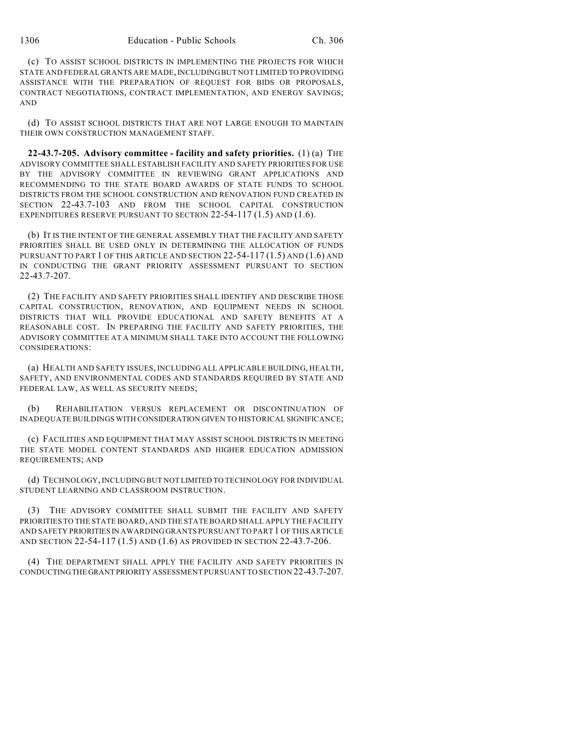(c) TO ASSIST SCHOOL DISTRICTS IN IMPLEMENTING THE PROJECTS FOR WHICH STATE AND FEDERAL GRANTS ARE MADE, INCLUDING BUT NOT LIMITED TO PROVIDING ASSISTANCE WITH THE PREPARATION OF REQUEST FOR BIDS OR PROPOSALS, CONTRACT NEGOTIATIONS, CONTRACT IMPLEMENTATION, AND ENERGY SAVINGS; AND

(d) TO ASSIST SCHOOL DISTRICTS THAT ARE NOT LARGE ENOUGH TO MAINTAIN THEIR OWN CONSTRUCTION MANAGEMENT STAFF.

**22-43.7-205. Advisory committee - facility and safety priorities.** (1) (a) THE ADVISORY COMMITTEE SHALL ESTABLISH FACILITY AND SAFETY PRIORITIES FOR USE BY THE ADVISORY COMMITTEE IN REVIEWING GRANT APPLICATIONS AND RECOMMENDING TO THE STATE BOARD AWARDS OF STATE FUNDS TO SCHOOL DISTRICTS FROM THE SCHOOL CONSTRUCTION AND RENOVATION FUND CREATED IN SECTION 22-43.7-103 AND FROM THE SCHOOL CAPITAL CONSTRUCTION EXPENDITURES RESERVE PURSUANT TO SECTION 22-54-117 (1.5) AND (1.6).

(b) IT IS THE INTENT OF THE GENERAL ASSEMBLY THAT THE FACILITY AND SAFETY PRIORITIES SHALL BE USED ONLY IN DETERMINING THE ALLOCATION OF FUNDS PURSUANT TO PART 1 OF THIS ARTICLE AND SECTION 22-54-117 (1.5) AND (1.6) AND IN CONDUCTING THE GRANT PRIORITY ASSESSMENT PURSUANT TO SECTION 22-43.7-207.

(2) THE FACILITY AND SAFETY PRIORITIES SHALL IDENTIFY AND DESCRIBE THOSE CAPITAL CONSTRUCTION, RENOVATION, AND EQUIPMENT NEEDS IN SCHOOL DISTRICTS THAT WILL PROVIDE EDUCATIONAL AND SAFETY BENEFITS AT A REASONABLE COST. IN PREPARING THE FACILITY AND SAFETY PRIORITIES, THE ADVISORY COMMITTEE AT A MINIMUM SHALL TAKE INTO ACCOUNT THE FOLLOWING CONSIDERATIONS:

(a) HEALTH AND SAFETY ISSUES, INCLUDING ALL APPLICABLE BUILDING, HEALTH, SAFETY, AND ENVIRONMENTAL CODES AND STANDARDS REQUIRED BY STATE AND FEDERAL LAW, AS WELL AS SECURITY NEEDS;

(b) REHABILITATION VERSUS REPLACEMENT OR DISCONTINUATION OF INADEQUATE BUILDINGS WITH CONSIDERATION GIVEN TO HISTORICAL SIGNIFICANCE;

(c) FACILITIES AND EQUIPMENT THAT MAY ASSIST SCHOOL DISTRICTS IN MEETING THE STATE MODEL CONTENT STANDARDS AND HIGHER EDUCATION ADMISSION REQUIREMENTS; AND

(d) TECHNOLOGY, INCLUDING BUT NOT LIMITED TO TECHNOLOGY FOR INDIVIDUAL STUDENT LEARNING AND CLASSROOM INSTRUCTION.

(3) THE ADVISORY COMMITTEE SHALL SUBMIT THE FACILITY AND SAFETY PRIORITIES TO THE STATE BOARD, AND THE STATE BOARD SHALL APPLY THE FACILITY AND SAFETY PRIORITIES IN AWARDING GRANTS PURSUANT TO PART 1 OF THIS ARTICLE AND SECTION 22-54-117 (1.5) AND (1.6) AS PROVIDED IN SECTION 22-43.7-206.

(4) THE DEPARTMENT SHALL APPLY THE FACILITY AND SAFETY PRIORITIES IN CONDUCTING THE GRANT PRIORITY ASSESSMENT PURSUANT TO SECTION 22-43.7-207.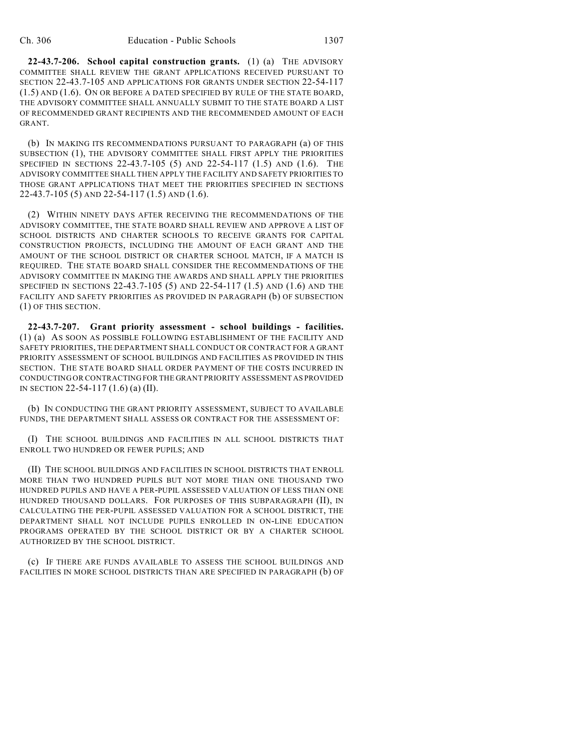**22-43.7-206. School capital construction grants.** (1) (a) THE ADVISORY COMMITTEE SHALL REVIEW THE GRANT APPLICATIONS RECEIVED PURSUANT TO SECTION 22-43.7-105 AND APPLICATIONS FOR GRANTS UNDER SECTION 22-54-117 (1.5) AND (1.6). ON OR BEFORE A DATED SPECIFIED BY RULE OF THE STATE BOARD, THE ADVISORY COMMITTEE SHALL ANNUALLY SUBMIT TO THE STATE BOARD A LIST OF RECOMMENDED GRANT RECIPIENTS AND THE RECOMMENDED AMOUNT OF EACH GRANT.

(b) IN MAKING ITS RECOMMENDATIONS PURSUANT TO PARAGRAPH (a) OF THIS SUBSECTION (1), THE ADVISORY COMMITTEE SHALL FIRST APPLY THE PRIORITIES SPECIFIED IN SECTIONS 22-43.7-105 (5) AND 22-54-117 (1.5) AND (1.6). THE ADVISORY COMMITTEE SHALL THEN APPLY THE FACILITY AND SAFETY PRIORITIES TO THOSE GRANT APPLICATIONS THAT MEET THE PRIORITIES SPECIFIED IN SECTIONS 22-43.7-105 (5) AND 22-54-117 (1.5) AND (1.6).

(2) WITHIN NINETY DAYS AFTER RECEIVING THE RECOMMENDATIONS OF THE ADVISORY COMMITTEE, THE STATE BOARD SHALL REVIEW AND APPROVE A LIST OF SCHOOL DISTRICTS AND CHARTER SCHOOLS TO RECEIVE GRANTS FOR CAPITAL CONSTRUCTION PROJECTS, INCLUDING THE AMOUNT OF EACH GRANT AND THE AMOUNT OF THE SCHOOL DISTRICT OR CHARTER SCHOOL MATCH, IF A MATCH IS REQUIRED. THE STATE BOARD SHALL CONSIDER THE RECOMMENDATIONS OF THE ADVISORY COMMITTEE IN MAKING THE AWARDS AND SHALL APPLY THE PRIORITIES SPECIFIED IN SECTIONS 22-43.7-105 (5) AND 22-54-117 (1.5) AND (1.6) AND THE FACILITY AND SAFETY PRIORITIES AS PROVIDED IN PARAGRAPH (b) OF SUBSECTION (1) OF THIS SECTION.

**22-43.7-207. Grant priority assessment - school buildings - facilities.** (1) (a) AS SOON AS POSSIBLE FOLLOWING ESTABLISHMENT OF THE FACILITY AND SAFETY PRIORITIES, THE DEPARTMENT SHALL CONDUCT OR CONTRACT FOR A GRANT PRIORITY ASSESSMENT OF SCHOOL BUILDINGS AND FACILITIES AS PROVIDED IN THIS SECTION. THE STATE BOARD SHALL ORDER PAYMENT OF THE COSTS INCURRED IN CONDUCTING OR CONTRACTING FOR THE GRANT PRIORITY ASSESSMENT AS PROVIDED IN SECTION 22-54-117 (1.6) (a) (II).

(b) IN CONDUCTING THE GRANT PRIORITY ASSESSMENT, SUBJECT TO AVAILABLE FUNDS, THE DEPARTMENT SHALL ASSESS OR CONTRACT FOR THE ASSESSMENT OF:

(I) THE SCHOOL BUILDINGS AND FACILITIES IN ALL SCHOOL DISTRICTS THAT ENROLL TWO HUNDRED OR FEWER PUPILS; AND

(II) THE SCHOOL BUILDINGS AND FACILITIES IN SCHOOL DISTRICTS THAT ENROLL MORE THAN TWO HUNDRED PUPILS BUT NOT MORE THAN ONE THOUSAND TWO HUNDRED PUPILS AND HAVE A PER-PUPIL ASSESSED VALUATION OF LESS THAN ONE HUNDRED THOUSAND DOLLARS. FOR PURPOSES OF THIS SUBPARAGRAPH (II), IN CALCULATING THE PER-PUPIL ASSESSED VALUATION FOR A SCHOOL DISTRICT, THE DEPARTMENT SHALL NOT INCLUDE PUPILS ENROLLED IN ON-LINE EDUCATION PROGRAMS OPERATED BY THE SCHOOL DISTRICT OR BY A CHARTER SCHOOL AUTHORIZED BY THE SCHOOL DISTRICT.

(c) IF THERE ARE FUNDS AVAILABLE TO ASSESS THE SCHOOL BUILDINGS AND FACILITIES IN MORE SCHOOL DISTRICTS THAN ARE SPECIFIED IN PARAGRAPH (b) OF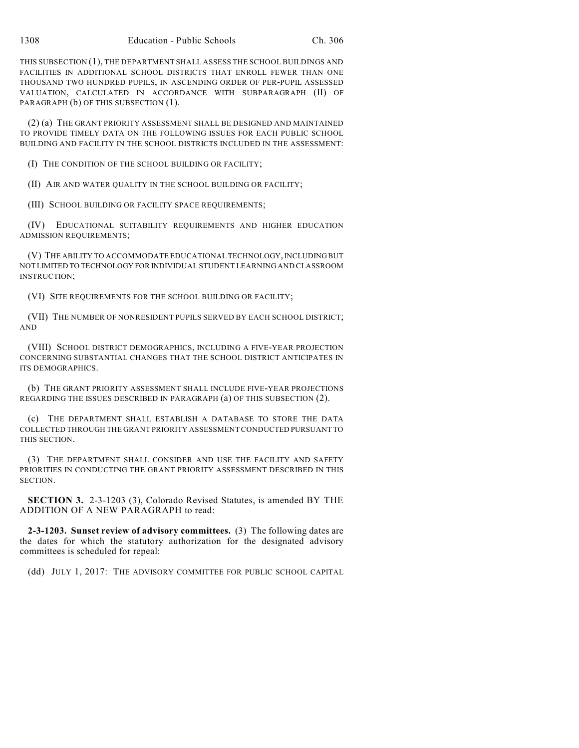THIS SUBSECTION (1), THE DEPARTMENT SHALL ASSESS THE SCHOOL BUILDINGS AND FACILITIES IN ADDITIONAL SCHOOL DISTRICTS THAT ENROLL FEWER THAN ONE THOUSAND TWO HUNDRED PUPILS, IN ASCENDING ORDER OF PER-PUPIL ASSESSED VALUATION, CALCULATED IN ACCORDANCE WITH SUBPARAGRAPH (II) OF PARAGRAPH (b) OF THIS SUBSECTION (1).

(2) (a) THE GRANT PRIORITY ASSESSMENT SHALL BE DESIGNED AND MAINTAINED TO PROVIDE TIMELY DATA ON THE FOLLOWING ISSUES FOR EACH PUBLIC SCHOOL BUILDING AND FACILITY IN THE SCHOOL DISTRICTS INCLUDED IN THE ASSESSMENT:

(I) THE CONDITION OF THE SCHOOL BUILDING OR FACILITY;

(II) AIR AND WATER QUALITY IN THE SCHOOL BUILDING OR FACILITY;

(III) SCHOOL BUILDING OR FACILITY SPACE REQUIREMENTS;

(IV) EDUCATIONAL SUITABILITY REQUIREMENTS AND HIGHER EDUCATION ADMISSION REQUIREMENTS;

(V) THE ABILITY TO ACCOMMODATE EDUCATIONAL TECHNOLOGY, INCLUDING BUT NOT LIMITED TO TECHNOLOGY FOR INDIVIDUAL STUDENT LEARNING AND CLASSROOM INSTRUCTION;

(VI) SITE REQUIREMENTS FOR THE SCHOOL BUILDING OR FACILITY;

(VII) THE NUMBER OF NONRESIDENT PUPILS SERVED BY EACH SCHOOL DISTRICT; AND

(VIII) SCHOOL DISTRICT DEMOGRAPHICS, INCLUDING A FIVE-YEAR PROJECTION CONCERNING SUBSTANTIAL CHANGES THAT THE SCHOOL DISTRICT ANTICIPATES IN ITS DEMOGRAPHICS.

(b) THE GRANT PRIORITY ASSESSMENT SHALL INCLUDE FIVE-YEAR PROJECTIONS REGARDING THE ISSUES DESCRIBED IN PARAGRAPH (a) OF THIS SUBSECTION (2).

(c) THE DEPARTMENT SHALL ESTABLISH A DATABASE TO STORE THE DATA COLLECTED THROUGH THE GRANT PRIORITY ASSESSMENT CONDUCTED PURSUANT TO THIS SECTION.

(3) THE DEPARTMENT SHALL CONSIDER AND USE THE FACILITY AND SAFETY PRIORITIES IN CONDUCTING THE GRANT PRIORITY ASSESSMENT DESCRIBED IN THIS SECTION.

**SECTION 3.** 2-3-1203 (3), Colorado Revised Statutes, is amended BY THE ADDITION OF A NEW PARAGRAPH to read:

**2-3-1203. Sunset review of advisory committees.** (3) The following dates are the dates for which the statutory authorization for the designated advisory committees is scheduled for repeal:

(dd) JULY 1, 2017: THE ADVISORY COMMITTEE FOR PUBLIC SCHOOL CAPITAL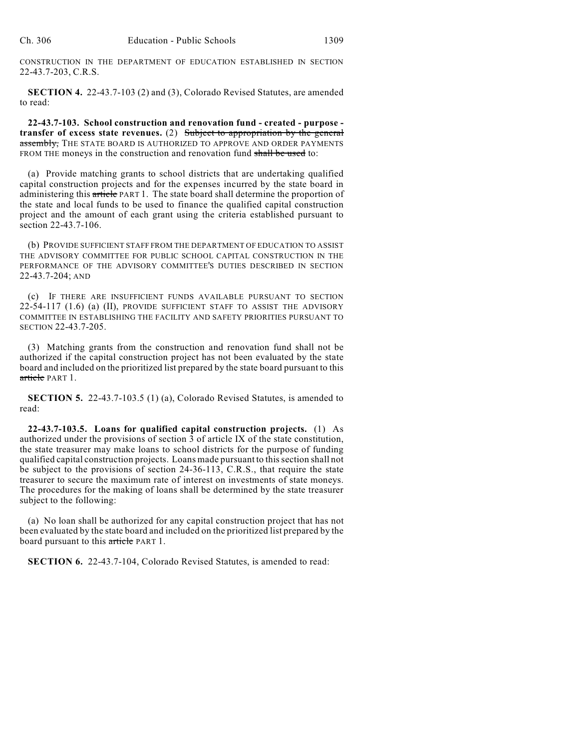CONSTRUCTION IN THE DEPARTMENT OF EDUCATION ESTABLISHED IN SECTION 22-43.7-203, C.R.S.

**SECTION 4.** 22-43.7-103 (2) and (3), Colorado Revised Statutes, are amended to read:

**22-43.7-103. School construction and renovation fund - created - purpose transfer of excess state revenues.** (2) Subject to appropriation by the general assembly, THE STATE BOARD IS AUTHORIZED TO APPROVE AND ORDER PAYMENTS FROM THE moneys in the construction and renovation fund shall be used to:

(a) Provide matching grants to school districts that are undertaking qualified capital construction projects and for the expenses incurred by the state board in administering this article PART 1. The state board shall determine the proportion of the state and local funds to be used to finance the qualified capital construction project and the amount of each grant using the criteria established pursuant to section 22-43.7-106.

(b) PROVIDE SUFFICIENT STAFF FROM THE DEPARTMENT OF EDUCATION TO ASSIST THE ADVISORY COMMITTEE FOR PUBLIC SCHOOL CAPITAL CONSTRUCTION IN THE PERFORMANCE OF THE ADVISORY COMMITTEE'S DUTIES DESCRIBED IN SECTION 22-43.7-204; AND

(c) IF THERE ARE INSUFFICIENT FUNDS AVAILABLE PURSUANT TO SECTION 22-54-117 (1.6) (a) (II), PROVIDE SUFFICIENT STAFF TO ASSIST THE ADVISORY COMMITTEE IN ESTABLISHING THE FACILITY AND SAFETY PRIORITIES PURSUANT TO SECTION 22-43.7-205.

(3) Matching grants from the construction and renovation fund shall not be authorized if the capital construction project has not been evaluated by the state board and included on the prioritized list prepared by the state board pursuant to this article PART 1.

**SECTION 5.** 22-43.7-103.5 (1) (a), Colorado Revised Statutes, is amended to read:

**22-43.7-103.5. Loans for qualified capital construction projects.** (1) As authorized under the provisions of section 3 of article IX of the state constitution, the state treasurer may make loans to school districts for the purpose of funding qualified capital construction projects. Loans made pursuant to this section shall not be subject to the provisions of section 24-36-113, C.R.S., that require the state treasurer to secure the maximum rate of interest on investments of state moneys. The procedures for the making of loans shall be determined by the state treasurer subject to the following:

(a) No loan shall be authorized for any capital construction project that has not been evaluated by the state board and included on the prioritized list prepared by the board pursuant to this article PART 1.

**SECTION 6.** 22-43.7-104, Colorado Revised Statutes, is amended to read: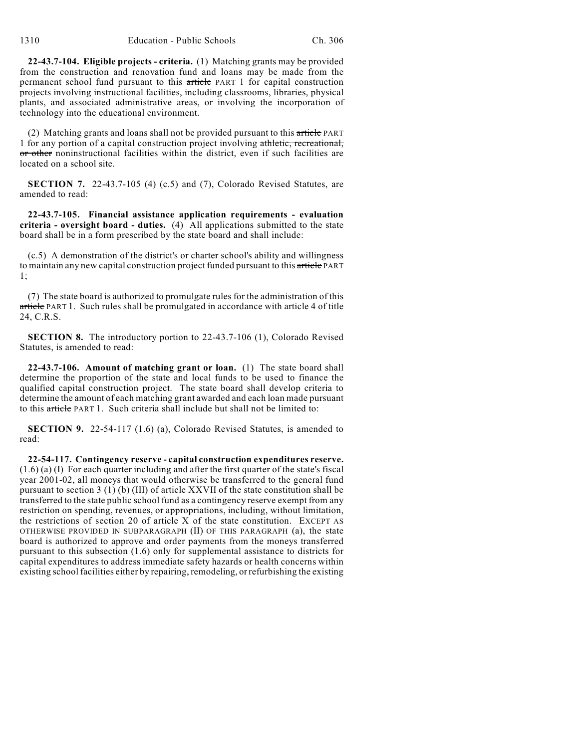**22-43.7-104. Eligible projects - criteria.** (1) Matching grants may be provided from the construction and renovation fund and loans may be made from the permanent school fund pursuant to this article PART 1 for capital construction projects involving instructional facilities, including classrooms, libraries, physical plants, and associated administrative areas, or involving the incorporation of technology into the educational environment.

(2) Matching grants and loans shall not be provided pursuant to this  $\pi$ ticle PART 1 for any portion of a capital construction project involving athletic, recreational, or other noninstructional facilities within the district, even if such facilities are located on a school site.

**SECTION 7.** 22-43.7-105 (4) (c.5) and (7), Colorado Revised Statutes, are amended to read:

**22-43.7-105. Financial assistance application requirements - evaluation criteria - oversight board - duties.** (4) All applications submitted to the state board shall be in a form prescribed by the state board and shall include:

(c.5) A demonstration of the district's or charter school's ability and willingness to maintain any new capital construction project funded pursuant to this article PART 1;

(7) The state board is authorized to promulgate rules for the administration of this article PART 1. Such rules shall be promulgated in accordance with article 4 of title 24, C.R.S.

**SECTION 8.** The introductory portion to 22-43.7-106 (1), Colorado Revised Statutes, is amended to read:

**22-43.7-106. Amount of matching grant or loan.** (1) The state board shall determine the proportion of the state and local funds to be used to finance the qualified capital construction project. The state board shall develop criteria to determine the amount of each matching grant awarded and each loan made pursuant to this article PART 1. Such criteria shall include but shall not be limited to:

**SECTION 9.** 22-54-117 (1.6) (a), Colorado Revised Statutes, is amended to read:

**22-54-117. Contingency reserve - capital construction expenditures reserve.** (1.6) (a) (I) For each quarter including and after the first quarter of the state's fiscal year 2001-02, all moneys that would otherwise be transferred to the general fund pursuant to section 3 (1) (b) (III) of article XXVII of the state constitution shall be transferred to the state public school fund as a contingency reserve exempt from any restriction on spending, revenues, or appropriations, including, without limitation, the restrictions of section 20 of article  $X$  of the state constitution. EXCEPT AS OTHERWISE PROVIDED IN SUBPARAGRAPH (II) OF THIS PARAGRAPH (a), the state board is authorized to approve and order payments from the moneys transferred pursuant to this subsection (1.6) only for supplemental assistance to districts for capital expenditures to address immediate safety hazards or health concerns within existing school facilities either by repairing, remodeling, or refurbishing the existing